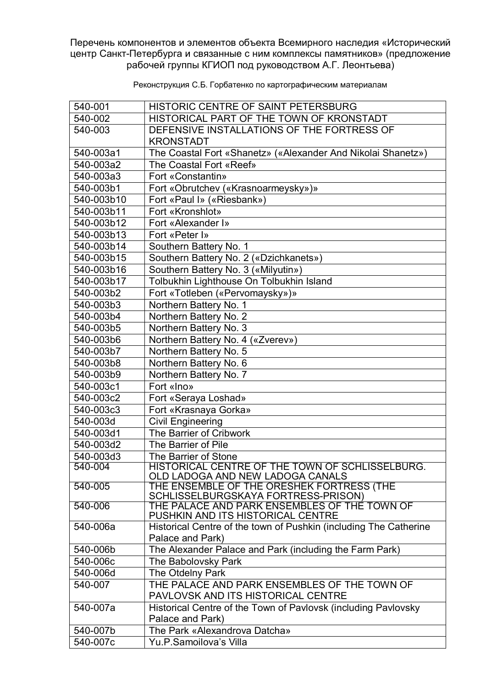Перечень компонентов и элементов объекта Всемирного наследия «Исторический центр Санкт-Петербурга и связанные с ним комплексы памятников» (предложение рабочей группы КГИОП под руководством А.Г. Леонтьева)

| 540-001    | HISTORIC CENTRE OF SAINT PETERSBURG                                                 |
|------------|-------------------------------------------------------------------------------------|
| 540-002    | HISTORICAL PART OF THE TOWN OF KRONSTADT                                            |
| 540-003    | DEFENSIVE INSTALLATIONS OF THE FORTRESS OF                                          |
|            | <b>KRONSTADT</b>                                                                    |
| 540-003a1  | The Coastal Fort «Shanetz» («Alexander And Nikolai Shanetz»)                        |
| 540-003a2  | The Coastal Fort «Reef»                                                             |
| 540-003a3  | Fort «Constantin»                                                                   |
| 540-003b1  | Fort «Obrutchev («Krasnoarmeysky»)»                                                 |
| 540-003b10 | Fort «Paul I» («Riesbank»)                                                          |
| 540-003b11 | Fort «Kronshlot»                                                                    |
| 540-003b12 | Fort «Alexander I»                                                                  |
| 540-003b13 | Fort «Peter I»                                                                      |
| 540-003b14 | Southern Battery No. 1                                                              |
| 540-003b15 | Southern Battery No. 2 («Dzichkanets»)                                              |
| 540-003b16 | Southern Battery No. 3 («Milyutin»)                                                 |
| 540-003b17 | Tolbukhin Lighthouse On Tolbukhin Island                                            |
| 540-003b2  | Fort «Totleben («Pervomaysky»)»                                                     |
| 540-003b3  | Northern Battery No. 1                                                              |
| 540-003b4  | Northern Battery No. 2                                                              |
| 540-003b5  | Northern Battery No. 3                                                              |
| 540-003b6  | Northern Battery No. 4 («Zverev»)                                                   |
| 540-003b7  | Northern Battery No. 5                                                              |
| 540-003b8  | Northern Battery No. 6                                                              |
| 540-003b9  | Northern Battery No. 7                                                              |
| 540-003c1  | Fort «Ino»                                                                          |
| 540-003c2  | Fort «Seraya Loshad»                                                                |
| 540-003c3  | Fort «Krasnaya Gorka»                                                               |
| 540-003d   | <b>Civil Engineering</b>                                                            |
| 540-003d1  | The Barrier of Cribwork                                                             |
| 540-003d2  | The Barrier of Pile                                                                 |
| 540-003d3  | The Barrier of Stone                                                                |
| 540-004    | HISTORICAL CENTRE OF THE TOWN OF SCHLISSELBURG.<br>OLD LADOGA AND NEW LADOGA CANALS |
| 540-005    | THE ENSEMBLE OF THE ORESHEK FORTRESS (THE                                           |
|            | SCHLISSELBURGSKAYA FORTRESS-PRISON)                                                 |
| 540-006    | THE PALACE AND PARK ENSEMBLES OF THE TOWN OF                                        |
|            | PUSHKIN AND ITS HISTORICAL CENTRE                                                   |
| 540-006a   | Historical Centre of the town of Pushkin (including The Catherine                   |
|            | Palace and Park)                                                                    |
| 540-006b   | The Alexander Palace and Park (including the Farm Park)                             |
| 540-006c   | The Babolovsky Park                                                                 |
| 540-006d   | The Otdelny Park                                                                    |
| 540-007    | THE PALACE AND PARK ENSEMBLES OF THE TOWN OF<br>PAVLOVSK AND ITS HISTORICAL CENTRE  |
| 540-007a   |                                                                                     |
|            | Historical Centre of the Town of Pavlovsk (including Pavlovsky<br>Palace and Park)  |
| 540-007b   | The Park «Alexandrova Datcha»                                                       |
| 540-007c   | Yu.P.Samoilova's Villa                                                              |
|            |                                                                                     |

Реконструкция С.Б. Горбатенко по картографическим материалам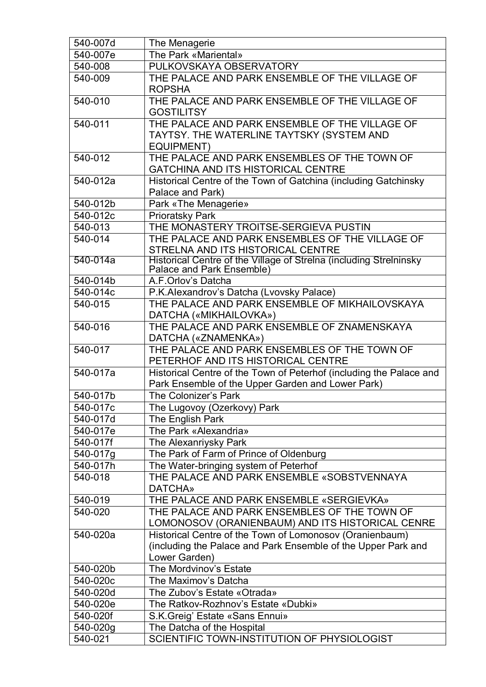| 540-007d | The Menagerie                                                                                   |
|----------|-------------------------------------------------------------------------------------------------|
| 540-007e | The Park «Mariental»                                                                            |
| 540-008  | PULKOVSKAYA OBSERVATORY                                                                         |
| 540-009  | THE PALACE AND PARK ENSEMBLE OF THE VILLAGE OF                                                  |
|          | <b>ROPSHA</b>                                                                                   |
| 540-010  | THE PALACE AND PARK ENSEMBLE OF THE VILLAGE OF                                                  |
|          | <b>GOSTILITSY</b>                                                                               |
| 540-011  | THE PALACE AND PARK ENSEMBLE OF THE VILLAGE OF                                                  |
|          | TAYTSY. THE WATERLINE TAYTSKY (SYSTEM AND                                                       |
|          | <b>EQUIPMENT)</b>                                                                               |
| 540-012  | THE PALACE AND PARK ENSEMBLES OF THE TOWN OF                                                    |
|          | <b>GATCHINA AND ITS HISTORICAL CENTRE</b>                                                       |
| 540-012a | Historical Centre of the Town of Gatchina (including Gatchinsky                                 |
|          | Palace and Park)                                                                                |
| 540-012b | Park «The Menagerie»                                                                            |
| 540-012c | <b>Prioratsky Park</b>                                                                          |
| 540-013  | THE MONASTERY TROITSE-SERGIEVA PUSTIN                                                           |
| 540-014  | THE PALACE AND PARK ENSEMBLES OF THE VILLAGE OF                                                 |
|          | STRELNA AND ITS HISTORICAL CENTRE                                                               |
| 540-014a | Historical Centre of the Village of Strelna (including Strelninsky<br>Palace and Park Ensemble) |
| 540-014b | A.F.Orlov's Datcha                                                                              |
| 540-014c | P.K.Alexandrov's Datcha (Lvovsky Palace)                                                        |
| 540-015  | THE PALACE AND PARK ENSEMBLE OF MIKHAILOVSKAYA                                                  |
|          | DATCHA («MIKHAILOVKA»)                                                                          |
| 540-016  | THE PALACE AND PARK ENSEMBLE OF ZNAMENSKAYA                                                     |
|          | DATCHA («ZNAMENKA»)                                                                             |
| 540-017  | THE PALACE AND PARK ENSEMBLES OF THE TOWN OF                                                    |
|          | PETERHOF AND ITS HISTORICAL CENTRE                                                              |
| 540-017a | Historical Centre of the Town of Peterhof (including the Palace and                             |
|          | Park Ensemble of the Upper Garden and Lower Park)                                               |
| 540-017b | The Colonizer's Park                                                                            |
| 540-017c | The Lugovoy (Ozerkovy) Park                                                                     |
| 540-017d | The English Park                                                                                |
| 540-017e | The Park «Alexandria»                                                                           |
| 540-017f | The Alexanriysky Park                                                                           |
| 540-017g | The Park of Farm of Prince of Oldenburg                                                         |
| 540-017h | The Water-bringing system of Peterhof                                                           |
| 540-018  | THE PALACE AND PARK ENSEMBLE «SOBSTVENNAYA                                                      |
|          | <b>DATCHA»</b>                                                                                  |
| 540-019  | THE PALACE AND PARK ENSEMBLE «SERGIEVKA»                                                        |
| 540-020  | THE PALACE AND PARK ENSEMBLES OF THE TOWN OF                                                    |
|          | LOMONOSOV (ORANIENBAUM) AND ITS HISTORICAL CENRE                                                |
| 540-020a | Historical Centre of the Town of Lomonosov (Oranienbaum)                                        |
|          | (including the Palace and Park Ensemble of the Upper Park and                                   |
|          | Lower Garden)                                                                                   |
| 540-020b | The Mordvinov's Estate                                                                          |
| 540-020c | The Maximov's Datcha                                                                            |
| 540-020d | The Zubov's Estate «Otrada»                                                                     |
| 540-020e | The Ratkov-Rozhnov's Estate «Dubki»                                                             |
| 540-020f | S.K. Greig' Estate «Sans Ennui»                                                                 |
| 540-020g | The Datcha of the Hospital                                                                      |
| 540-021  | SCIENTIFIC TOWN-INSTITUTION OF PHYSIOLOGIST                                                     |